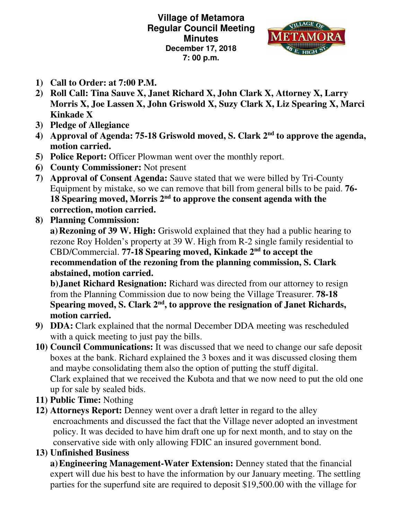**Village of Metamora Regular Council Meeting Minutes December 17, 2018 7: 00 p.m.** 



- **1) Call to Order: at 7:00 P.M.**
- **2) Roll Call: Tina Sauve X, Janet Richard X, John Clark X, Attorney X, Larry Morris X, Joe Lassen X, John Griswold X, Suzy Clark X, Liz Spearing X, Marci Kinkade X**
- **3) Pledge of Allegiance**
- **4) Approval of Agenda: 75-18 Griswold moved, S. Clark 2 nd to approve the agenda, motion carried.**
- **5) Police Report:** Officer Plowman went over the monthly report.
- **6) County Commissioner:** Not present
- **7) Approval of Consent Agenda:** Sauve stated that we were billed by Tri-County Equipment by mistake, so we can remove that bill from general bills to be paid. **76- 18 Spearing moved, Morris 2nd to approve the consent agenda with the correction, motion carried.**
- **8) Planning Commission:**

 **a) Rezoning of 39 W. High:** Griswold explained that they had a public hearing to rezone Roy Holden's property at 39 W. High from R-2 single family residential to CBD/Commercial. **77-18 Spearing moved, Kinkade 2nd to accept the recommendation of the rezoning from the planning commission, S. Clark abstained, motion carried.** 

**b**) **Janet Richard Resignation:** Richard was directed from our attorney to resign from the Planning Commission due to now being the Village Treasurer. **78-18 Spearing moved, S. Clark 2nd, to approve the resignation of Janet Richards, motion carried.** 

- **9) DDA:** Clark explained that the normal December DDA meeting was rescheduled with a quick meeting to just pay the bills.
- **10) Council Communications:** It was discussed that we need to change our safe deposit boxes at the bank. Richard explained the 3 boxes and it was discussed closing them and maybe consolidating them also the option of putting the stuff digital. Clark explained that we received the Kubota and that we now need to put the old one up for sale by sealed bids.
- **11) Public Time:** Nothing
- **12) Attorneys Report:** Denney went over a draft letter in regard to the alley encroachments and discussed the fact that the Village never adopted an investment policy. It was decided to have him draft one up for next month, and to stay on the conservative side with only allowing FDIC an insured government bond.
- **13) Unfinished Business**

**a)Engineering Management-Water Extension:** Denney stated that the financial expert will due his best to have the information by our January meeting. The settling parties for the superfund site are required to deposit \$19,500.00 with the village for